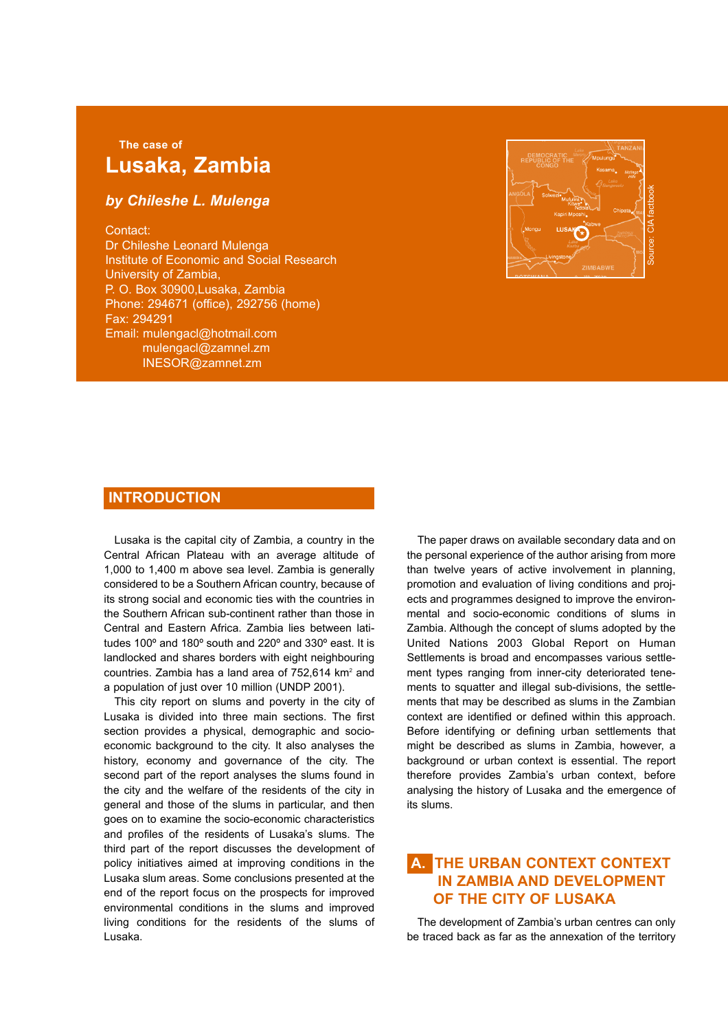# **The case of Lusaka, Zambia**

## *by Chileshe L. Mulenga*

#### Contact:

Dr Chileshe Leonard Mulenga Institute of Economic and Social Research University of Zambia, P. O. Box 30900,Lusaka, Zambia Phone: 294671 (office), 292756 (home) Fax: 294291 Email: mulengacl@hotmail.com mulengacl@zamnel.zm INESOR@zamnet.zm



### **INTRODUCTION**

Lusaka is the capital city of Zambia, a country in the Central African Plateau with an average altitude of 1,000 to 1,400 m above sea level. Zambia is generally considered to be a Southern African country, because of its strong social and economic ties with the countries in the Southern African sub-continent rather than those in Central and Eastern Africa. Zambia lies between latitudes 100º and 180º south and 220º and 330º east. It is landlocked and shares borders with eight neighbouring countries. Zambia has a land area of 752,614 km<sup>2</sup> and a population of just over 10 million (UNDP 2001).

This city report on slums and poverty in the city of Lusaka is divided into three main sections. The first section provides a physical, demographic and socioeconomic background to the city. It also analyses the history, economy and governance of the city. The second part of the report analyses the slums found in the city and the welfare of the residents of the city in general and those of the slums in particular, and then goes on to examine the socio-economic characteristics and profiles of the residents of Lusaka's slums. The third part of the report discusses the development of policy initiatives aimed at improving conditions in the Lusaka slum areas. Some conclusions presented at the end of the report focus on the prospects for improved environmental conditions in the slums and improved living conditions for the residents of the slums of Lusaka.

The paper draws on available secondary data and on the personal experience of the author arising from more than twelve years of active involvement in planning, promotion and evaluation of living conditions and projects and programmes designed to improve the environmental and socio-economic conditions of slums in Zambia. Although the concept of slums adopted by the United Nations 2003 Global Report on Human Settlements is broad and encompasses various settlement types ranging from inner-city deteriorated tenements to squatter and illegal sub-divisions, the settlements that may be described as slums in the Zambian context are identified or defined within this approach. Before identifying or defining urban settlements that might be described as slums in Zambia, however, a background or urban context is essential. The report therefore provides Zambia's urban context, before analysing the history of Lusaka and the emergence of its slums.

## **A. THE URBAN CONTEXT CONTEXT IN ZAMBIA AND DEVELOPMENT OF THE CITY OF LUSAKA**

The development of Zambia's urban centres can only be traced back as far as the annexation of the territory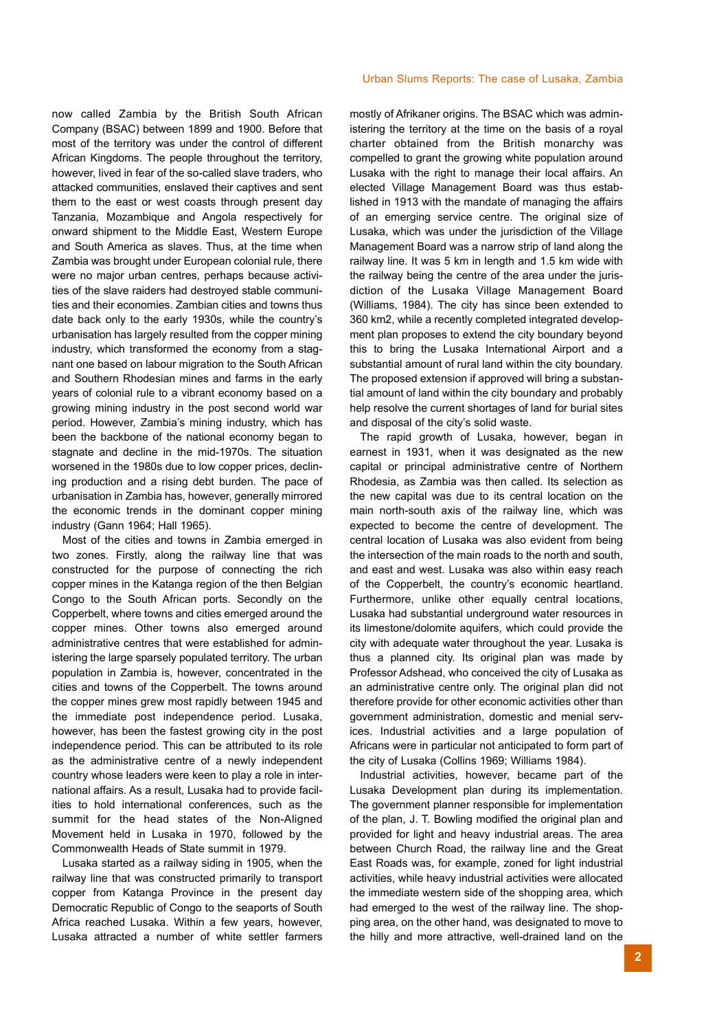Urban Slums Reports: The case of Lusaka, Zambia

now called Zambia by the British South African Company (BSAC) between 1899 and 1900. Before that most of the territory was under the control of different African Kingdoms. The people throughout the territory, however, lived in fear of the so-called slave traders, who attacked communities, enslaved their captives and sent them to the east or west coasts through present day Tanzania, Mozambique and Angola respectively for onward shipment to the Middle East, Western Europe and South America as slaves. Thus, at the time when Zambia was brought under European colonial rule, there were no major urban centres, perhaps because activities of the slave raiders had destroyed stable communities and their economies. Zambian cities and towns thus date back only to the early 1930s, while the country's urbanisation has largely resulted from the copper mining industry, which transformed the economy from a stagnant one based on labour migration to the South African and Southern Rhodesian mines and farms in the early years of colonial rule to a vibrant economy based on a growing mining industry in the post second world war period. However, Zambia's mining industry, which has been the backbone of the national economy began to stagnate and decline in the mid-1970s. The situation worsened in the 1980s due to low copper prices, declining production and a rising debt burden. The pace of urbanisation in Zambia has, however, generally mirrored the economic trends in the dominant copper mining industry (Gann 1964; Hall 1965).

Most of the cities and towns in Zambia emerged in two zones. Firstly, along the railway line that was constructed for the purpose of connecting the rich copper mines in the Katanga region of the then Belgian Congo to the South African ports. Secondly on the Copperbelt, where towns and cities emerged around the copper mines. Other towns also emerged around administrative centres that were established for administering the large sparsely populated territory. The urban population in Zambia is, however, concentrated in the cities and towns of the Copperbelt. The towns around the copper mines grew most rapidly between 1945 and the immediate post independence period. Lusaka, however, has been the fastest growing city in the post independence period. This can be attributed to its role as the administrative centre of a newly independent country whose leaders were keen to play a role in international affairs. As a result, Lusaka had to provide facilities to hold international conferences, such as the summit for the head states of the Non-Aligned Movement held in Lusaka in 1970, followed by the Commonwealth Heads of State summit in 1979.

Lusaka started as a railway siding in 1905, when the railway line that was constructed primarily to transport copper from Katanga Province in the present day Democratic Republic of Congo to the seaports of South Africa reached Lusaka. Within a few years, however, Lusaka attracted a number of white settler farmers

mostly of Afrikaner origins. The BSAC which was administering the territory at the time on the basis of a royal charter obtained from the British monarchy was compelled to grant the growing white population around Lusaka with the right to manage their local affairs. An elected Village Management Board was thus established in 1913 with the mandate of managing the affairs of an emerging service centre. The original size of Lusaka, which was under the jurisdiction of the Village Management Board was a narrow strip of land along the railway line. It was 5 km in length and 1.5 km wide with the railway being the centre of the area under the jurisdiction of the Lusaka Village Management Board (Williams, 1984). The city has since been extended to 360 km2, while a recently completed integrated development plan proposes to extend the city boundary beyond this to bring the Lusaka International Airport and a substantial amount of rural land within the city boundary. The proposed extension if approved will bring a substantial amount of land within the city boundary and probably help resolve the current shortages of land for burial sites and disposal of the city's solid waste.

The rapid growth of Lusaka, however, began in earnest in 1931, when it was designated as the new capital or principal administrative centre of Northern Rhodesia, as Zambia was then called. Its selection as the new capital was due to its central location on the main north-south axis of the railway line, which was expected to become the centre of development. The central location of Lusaka was also evident from being the intersection of the main roads to the north and south, and east and west. Lusaka was also within easy reach of the Copperbelt, the country's economic heartland. Furthermore, unlike other equally central locations, Lusaka had substantial underground water resources in its limestone/dolomite aquifers, which could provide the city with adequate water throughout the year. Lusaka is thus a planned city. Its original plan was made by Professor Adshead, who conceived the city of Lusaka as an administrative centre only. The original plan did not therefore provide for other economic activities other than government administration, domestic and menial services. Industrial activities and a large population of Africans were in particular not anticipated to form part of the city of Lusaka (Collins 1969; Williams 1984).

Industrial activities, however, became part of the Lusaka Development plan during its implementation. The government planner responsible for implementation of the plan, J. T. Bowling modified the original plan and provided for light and heavy industrial areas. The area between Church Road, the railway line and the Great East Roads was, for example, zoned for light industrial activities, while heavy industrial activities were allocated the immediate western side of the shopping area, which had emerged to the west of the railway line. The shopping area, on the other hand, was designated to move to the hilly and more attractive, well-drained land on the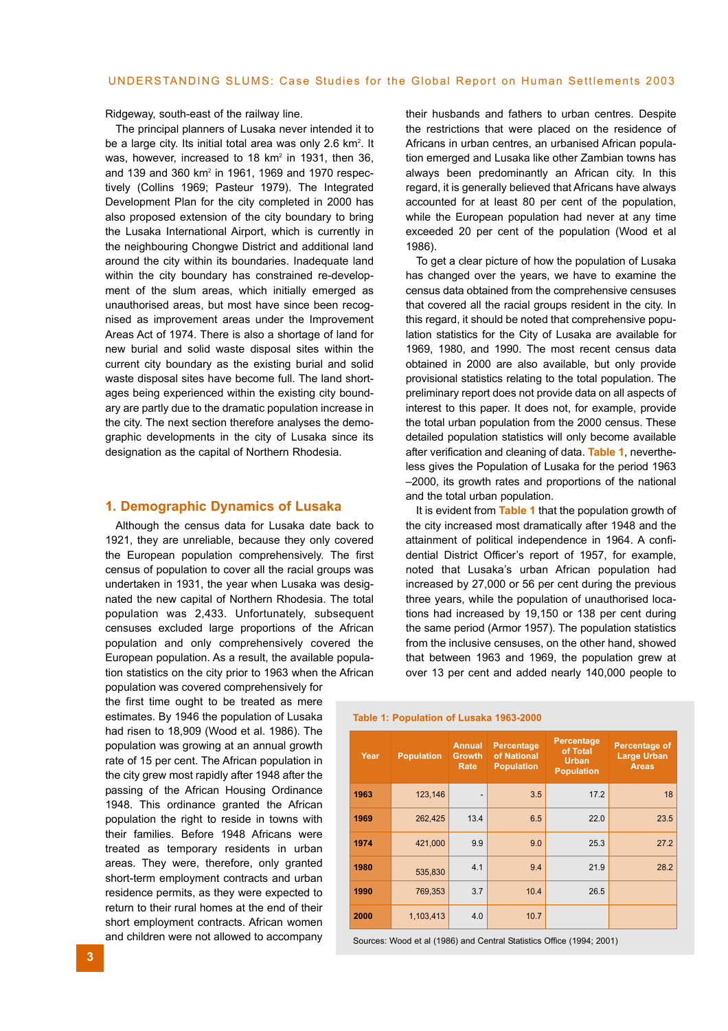Ridgeway, south-east of the railway line.

The principal planners of Lusaka never intended it to be a large city. Its initial total area was only 2.6 km<sup>2</sup>. It was, however, increased to 18 km<sup>2</sup> in 1931, then 36. and 139 and 360 km<sup>2</sup> in 1961, 1969 and 1970 respectively (Collins 1969; Pasteur 1979). The Integrated Development Plan for the city completed in 2000 has also proposed extension of the city boundary to bring the Lusaka International Airport, which is currently in the neighbouring Chongwe District and additional land around the city within its boundaries. Inadequate land within the city boundary has constrained re-development of the slum areas, which initially emerged as unauthorised areas, but most have since been recognised as improvement areas under the Improvement Areas Act of 1974. There is also a shortage of land for new burial and solid waste disposal sites within the current city boundary as the existing burial and solid waste disposal sites have become full. The land shortages being experienced within the existing city boundary are partly due to the dramatic population increase in the city. The next section therefore analyses the demographic developments in the city of Lusaka since its designation as the capital of Northern Rhodesia.

#### **1. Demographic Dynamics of Lusaka**

Although the census data for Lusaka date back to 1921, they are unreliable, because they only covered the European population comprehensively. The first census of population to cover all the racial groups was undertaken in 1931, the year when Lusaka was designated the new capital of Northern Rhodesia. The total population was 2,433. Unfortunately, subsequent censuses excluded large proportions of the African population and only comprehensively covered the European population. As a result, the available population statistics on the city prior to 1963 when the African

population was covered comprehensively for the first time ought to be treated as mere estimates. By 1946 the population of Lusaka had risen to 18,909 (Wood et al. 1986). The population was growing at an annual growth rate of 15 per cent. The African population in the city grew most rapidly after 1948 after the passing of the African Housing Ordinance 1948. This ordinance granted the African population the right to reside in towns with their families. Before 1948 Africans were treated as temporary residents in urban areas. They were, therefore, only granted short-term employment contracts and urban residence permits, as they were expected to return to their rural homes at the end of their short employment contracts. African women and children were not allowed to accompany their husbands and fathers to urban centres. Despite the restrictions that were placed on the residence of Africans in urban centres, an urbanised African population emerged and Lusaka like other Zambian towns has always been predominantly an African city. In this regard, it is generally believed that Africans have always accounted for at least 80 per cent of the population, while the European population had never at any time exceeded 20 per cent of the population (Wood et al 1986).

To get a clear picture of how the population of Lusaka has changed over the years, we have to examine the census data obtained from the comprehensive censuses that covered all the racial groups resident in the city. In this regard, it should be noted that comprehensive population statistics for the City of Lusaka are available for 1969, 1980, and 1990. The most recent census data obtained in 2000 are also available, but only provide provisional statistics relating to the total population. The preliminary report does not provide data on all aspects of interest to this paper. It does not, for example, provide the total urban population from the 2000 census. These detailed population statistics will only become available after verification and cleaning of data. **Table 1**, nevertheless gives the Population of Lusaka for the period 1963 –2000, its growth rates and proportions of the national and the total urban population.

It is evident from **Table 1** that the population growth of the city increased most dramatically after 1948 and the attainment of political independence in 1964. A confidential District Officer's report of 1957, for example, noted that Lusaka's urban African population had increased by 27,000 or 56 per cent during the previous three years, while the population of unauthorised locations had increased by 19,150 or 138 per cent during the same period (Armor 1957). The population statistics from the inclusive censuses, on the other hand, showed that between 1963 and 1969, the population grew at over 13 per cent and added nearly 140,000 people to

|  | Table 1: Population of Lusaka 1963-2000 |  |  |
|--|-----------------------------------------|--|--|
|--|-----------------------------------------|--|--|

| Year | <b>Population</b> | <b>Annual</b><br><b>Growth</b><br>Rate | Percentage<br>of National<br><b>Population</b> | Percentage<br>of Total<br><b>Urban</b><br><b>Population</b> | Percentage of<br><b>Large Urban</b><br><b>Areas</b> |
|------|-------------------|----------------------------------------|------------------------------------------------|-------------------------------------------------------------|-----------------------------------------------------|
| 1963 | 123,146           | $\overline{\phantom{0}}$               | 3.5                                            | 17.2                                                        | 18                                                  |
| 1969 | 262,425           | 13.4                                   | 6.5                                            | 22.0                                                        | 23.5                                                |
| 1974 | 421,000           | 9.9                                    | 9.0                                            | 25.3                                                        | 27.2                                                |
| 1980 | 535,830           | 4.1                                    | 9.4                                            | 21.9                                                        | 28.2                                                |
| 1990 | 769,353           | 3.7                                    | 10.4                                           | 26.5                                                        |                                                     |
| 2000 | 1,103,413         | 4.0                                    | 10.7                                           |                                                             |                                                     |

Sources: Wood et al (1986) and Central Statistics Office (1994; 2001)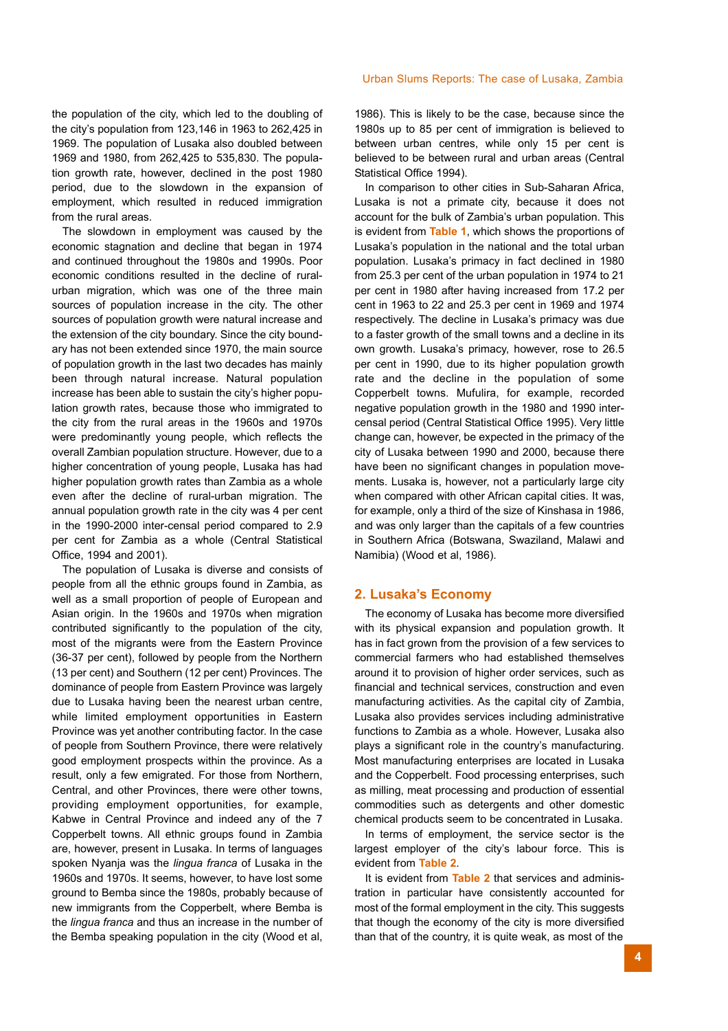the population of the city, which led to the doubling of the city's population from 123,146 in 1963 to 262,425 in 1969. The population of Lusaka also doubled between 1969 and 1980, from 262,425 to 535,830. The population growth rate, however, declined in the post 1980 period, due to the slowdown in the expansion of employment, which resulted in reduced immigration from the rural areas.

The slowdown in employment was caused by the economic stagnation and decline that began in 1974 and continued throughout the 1980s and 1990s. Poor economic conditions resulted in the decline of ruralurban migration, which was one of the three main sources of population increase in the city. The other sources of population growth were natural increase and the extension of the city boundary. Since the city boundary has not been extended since 1970, the main source of population growth in the last two decades has mainly been through natural increase. Natural population increase has been able to sustain the city's higher population growth rates, because those who immigrated to the city from the rural areas in the 1960s and 1970s were predominantly young people, which reflects the overall Zambian population structure. However, due to a higher concentration of young people, Lusaka has had higher population growth rates than Zambia as a whole even after the decline of rural-urban migration. The annual population growth rate in the city was 4 per cent in the 1990-2000 inter-censal period compared to 2.9 per cent for Zambia as a whole (Central Statistical Office, 1994 and 2001).

The population of Lusaka is diverse and consists of people from all the ethnic groups found in Zambia, as well as a small proportion of people of European and Asian origin. In the 1960s and 1970s when migration contributed significantly to the population of the city, most of the migrants were from the Eastern Province (36-37 per cent), followed by people from the Northern (13 per cent) and Southern (12 per cent) Provinces. The dominance of people from Eastern Province was largely due to Lusaka having been the nearest urban centre, while limited employment opportunities in Eastern Province was yet another contributing factor. In the case of people from Southern Province, there were relatively good employment prospects within the province. As a result, only a few emigrated. For those from Northern, Central, and other Provinces, there were other towns, providing employment opportunities, for example, Kabwe in Central Province and indeed any of the 7 Copperbelt towns. All ethnic groups found in Zambia are, however, present in Lusaka. In terms of languages spoken Nyanja was the *lingua franca* of Lusaka in the 1960s and 1970s. It seems, however, to have lost some ground to Bemba since the 1980s, probably because of new immigrants from the Copperbelt, where Bemba is the *lingua franca* and thus an increase in the number of the Bemba speaking population in the city (Wood et al,

#### Urban Slums Reports: The case of Lusaka, Zambia

1986). This is likely to be the case, because since the 1980s up to 85 per cent of immigration is believed to between urban centres, while only 15 per cent is believed to be between rural and urban areas (Central Statistical Office 1994).

In comparison to other cities in Sub-Saharan Africa, Lusaka is not a primate city, because it does not account for the bulk of Zambia's urban population. This is evident from **Table 1**, which shows the proportions of Lusaka's population in the national and the total urban population. Lusaka's primacy in fact declined in 1980 from 25.3 per cent of the urban population in 1974 to 21 per cent in 1980 after having increased from 17.2 per cent in 1963 to 22 and 25.3 per cent in 1969 and 1974 respectively. The decline in Lusaka's primacy was due to a faster growth of the small towns and a decline in its own growth. Lusaka's primacy, however, rose to 26.5 per cent in 1990, due to its higher population growth rate and the decline in the population of some Copperbelt towns. Mufulira, for example, recorded negative population growth in the 1980 and 1990 intercensal period (Central Statistical Office 1995). Very little change can, however, be expected in the primacy of the city of Lusaka between 1990 and 2000, because there have been no significant changes in population movements. Lusaka is, however, not a particularly large city when compared with other African capital cities. It was, for example, only a third of the size of Kinshasa in 1986, and was only larger than the capitals of a few countries in Southern Africa (Botswana, Swaziland, Malawi and Namibia) (Wood et al, 1986).

#### **2. Lusaka's Economy**

The economy of Lusaka has become more diversified with its physical expansion and population growth. It has in fact grown from the provision of a few services to commercial farmers who had established themselves around it to provision of higher order services, such as financial and technical services, construction and even manufacturing activities. As the capital city of Zambia, Lusaka also provides services including administrative functions to Zambia as a whole. However, Lusaka also plays a significant role in the country's manufacturing. Most manufacturing enterprises are located in Lusaka and the Copperbelt. Food processing enterprises, such as milling, meat processing and production of essential commodities such as detergents and other domestic chemical products seem to be concentrated in Lusaka.

In terms of employment, the service sector is the largest employer of the city's labour force. This is evident from **Table 2**.

It is evident from **Table 2** that services and administration in particular have consistently accounted for most of the formal employment in the city. This suggests that though the economy of the city is more diversified than that of the country, it is quite weak, as most of the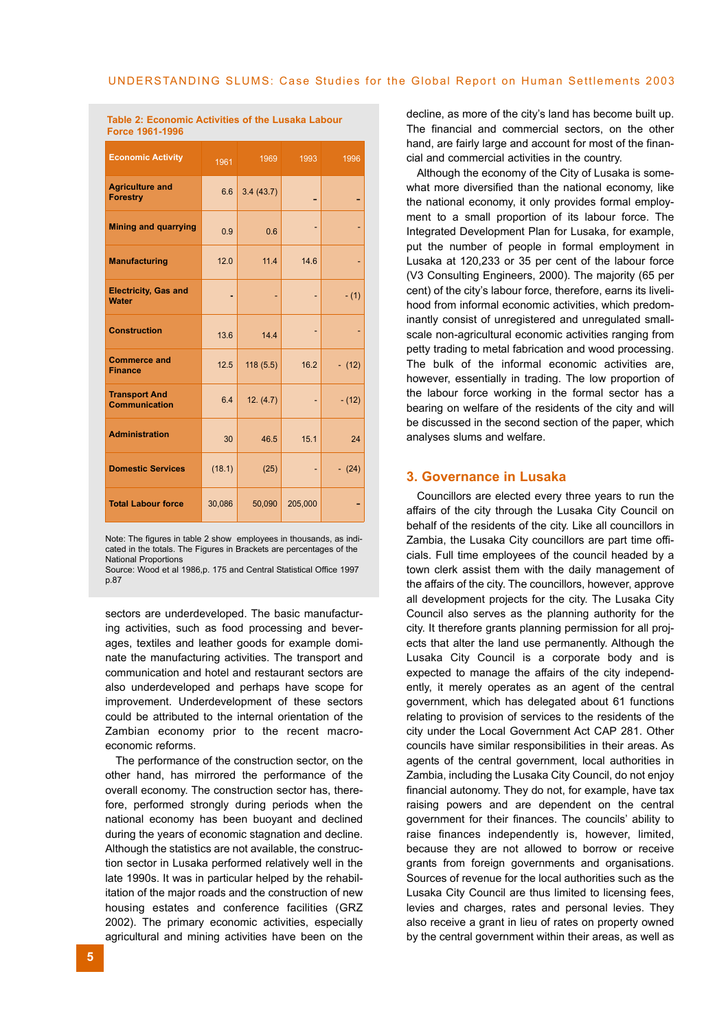| <b>Economic Activity</b>                     | 1961   | 1969      | 1993    | 1996     |
|----------------------------------------------|--------|-----------|---------|----------|
| <b>Agriculture and</b><br><b>Forestry</b>    | 6.6    | 3.4(43.7) |         |          |
| <b>Mining and quarrying</b>                  | 0.9    | 0.6       |         |          |
| <b>Manufacturing</b>                         | 12.0   | 11.4      | 14.6    |          |
| <b>Electricity, Gas and</b><br><b>Water</b>  | ٠      | ٠         | ٠       | $- (1)$  |
| <b>Construction</b>                          | 13.6   | 14.4      |         |          |
| <b>Commerce and</b><br><b>Finance</b>        | 12.5   | 118(5.5)  | 16.2    | $- (12)$ |
| <b>Transport And</b><br><b>Communication</b> | 6.4    | 12. (4.7) |         | $- (12)$ |
| <b>Administration</b>                        | 30     | 46.5      | 15.1    | 24       |
| <b>Domestic Services</b>                     | (18.1) | (25)      |         | $- (24)$ |
| <b>Total Labour force</b>                    | 30,086 | 50,090    | 205,000 |          |

**Table 2: Economic Activities of the Lusaka Labour Force 1961-1996**

Note: The figures in table 2 show employees in thousands, as indicated in the totals. The Figures in Brackets are percentages of the National Proportions

Source: Wood et al 1986,p. 175 and Central Statistical Office 1997 p.87

sectors are underdeveloped. The basic manufacturing activities, such as food processing and beverages, textiles and leather goods for example dominate the manufacturing activities. The transport and communication and hotel and restaurant sectors are also underdeveloped and perhaps have scope for improvement. Underdevelopment of these sectors could be attributed to the internal orientation of the Zambian economy prior to the recent macroeconomic reforms.

The performance of the construction sector, on the other hand, has mirrored the performance of the overall economy. The construction sector has, therefore, performed strongly during periods when the national economy has been buoyant and declined during the years of economic stagnation and decline. Although the statistics are not available, the construction sector in Lusaka performed relatively well in the late 1990s. It was in particular helped by the rehabilitation of the major roads and the construction of new housing estates and conference facilities (GRZ 2002). The primary economic activities, especially agricultural and mining activities have been on the decline, as more of the city's land has become built up. The financial and commercial sectors, on the other hand, are fairly large and account for most of the financial and commercial activities in the country.

Although the economy of the City of Lusaka is somewhat more diversified than the national economy, like the national economy, it only provides formal employment to a small proportion of its labour force. The Integrated Development Plan for Lusaka, for example, put the number of people in formal employment in Lusaka at 120,233 or 35 per cent of the labour force (V3 Consulting Engineers, 2000). The majority (65 per cent) of the city's labour force, therefore, earns its livelihood from informal economic activities, which predominantly consist of unregistered and unregulated smallscale non-agricultural economic activities ranging from petty trading to metal fabrication and wood processing. The bulk of the informal economic activities are, however, essentially in trading. The low proportion of the labour force working in the formal sector has a bearing on welfare of the residents of the city and will be discussed in the second section of the paper, which analyses slums and welfare.

### **3. Governance in Lusaka**

Councillors are elected every three years to run the affairs of the city through the Lusaka City Council on behalf of the residents of the city. Like all councillors in Zambia, the Lusaka City councillors are part time officials. Full time employees of the council headed by a town clerk assist them with the daily management of the affairs of the city. The councillors, however, approve all development projects for the city. The Lusaka City Council also serves as the planning authority for the city. It therefore grants planning permission for all projects that alter the land use permanently. Although the Lusaka City Council is a corporate body and is expected to manage the affairs of the city independently, it merely operates as an agent of the central government, which has delegated about 61 functions relating to provision of services to the residents of the city under the Local Government Act CAP 281. Other councils have similar responsibilities in their areas. As agents of the central government, local authorities in Zambia, including the Lusaka City Council, do not enjoy financial autonomy. They do not, for example, have tax raising powers and are dependent on the central government for their finances. The councils' ability to raise finances independently is, however, limited, because they are not allowed to borrow or receive grants from foreign governments and organisations. Sources of revenue for the local authorities such as the Lusaka City Council are thus limited to licensing fees, levies and charges, rates and personal levies. They also receive a grant in lieu of rates on property owned by the central government within their areas, as well as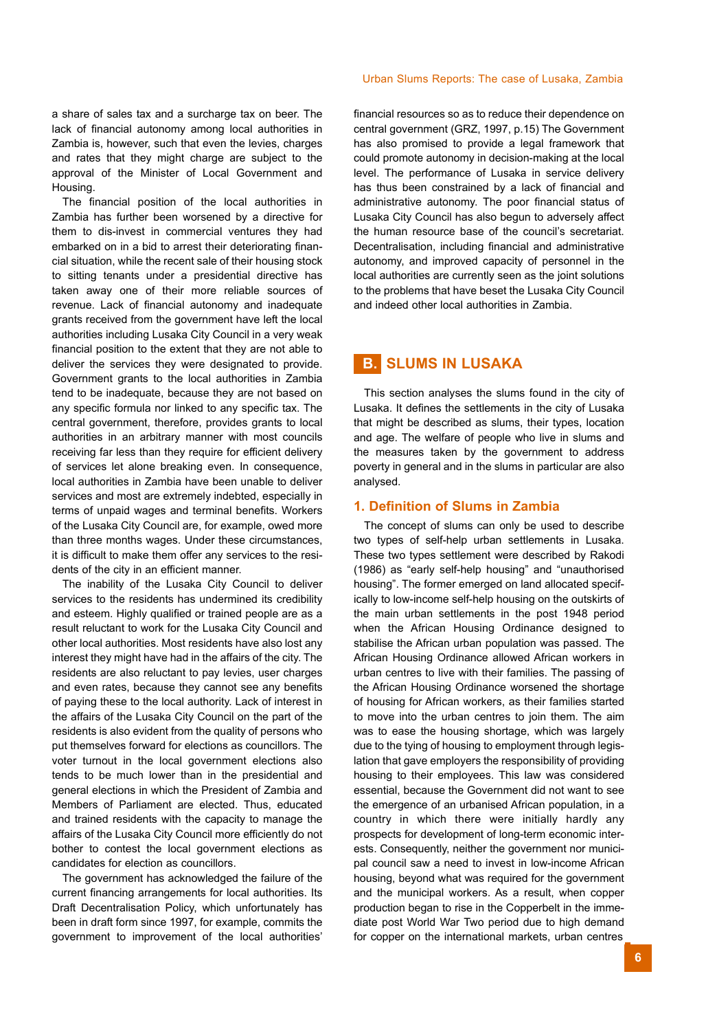a share of sales tax and a surcharge tax on beer. The lack of financial autonomy among local authorities in Zambia is, however, such that even the levies, charges and rates that they might charge are subject to the approval of the Minister of Local Government and Housing.

The financial position of the local authorities in Zambia has further been worsened by a directive for them to dis-invest in commercial ventures they had embarked on in a bid to arrest their deteriorating financial situation, while the recent sale of their housing stock to sitting tenants under a presidential directive has taken away one of their more reliable sources of revenue. Lack of financial autonomy and inadequate grants received from the government have left the local authorities including Lusaka City Council in a very weak financial position to the extent that they are not able to deliver the services they were designated to provide. Government grants to the local authorities in Zambia tend to be inadequate, because they are not based on any specific formula nor linked to any specific tax. The central government, therefore, provides grants to local authorities in an arbitrary manner with most councils receiving far less than they require for efficient delivery of services let alone breaking even. In consequence, local authorities in Zambia have been unable to deliver services and most are extremely indebted, especially in terms of unpaid wages and terminal benefits. Workers of the Lusaka City Council are, for example, owed more than three months wages. Under these circumstances, it is difficult to make them offer any services to the residents of the city in an efficient manner.

The inability of the Lusaka City Council to deliver services to the residents has undermined its credibility and esteem. Highly qualified or trained people are as a result reluctant to work for the Lusaka City Council and other local authorities. Most residents have also lost any interest they might have had in the affairs of the city. The residents are also reluctant to pay levies, user charges and even rates, because they cannot see any benefits of paying these to the local authority. Lack of interest in the affairs of the Lusaka City Council on the part of the residents is also evident from the quality of persons who put themselves forward for elections as councillors. The voter turnout in the local government elections also tends to be much lower than in the presidential and general elections in which the President of Zambia and Members of Parliament are elected. Thus, educated and trained residents with the capacity to manage the affairs of the Lusaka City Council more efficiently do not bother to contest the local government elections as candidates for election as councillors.

The government has acknowledged the failure of the current financing arrangements for local authorities. Its Draft Decentralisation Policy, which unfortunately has been in draft form since 1997, for example, commits the government to improvement of the local authorities'

financial resources so as to reduce their dependence on central government (GRZ, 1997, p.15) The Government has also promised to provide a legal framework that could promote autonomy in decision-making at the local level. The performance of Lusaka in service delivery has thus been constrained by a lack of financial and administrative autonomy. The poor financial status of Lusaka City Council has also begun to adversely affect the human resource base of the council's secretariat. Decentralisation, including financial and administrative autonomy, and improved capacity of personnel in the local authorities are currently seen as the joint solutions to the problems that have beset the Lusaka City Council and indeed other local authorities in Zambia.

## **B. SLUMS IN LUSAKA**

This section analyses the slums found in the city of Lusaka. It defines the settlements in the city of Lusaka that might be described as slums, their types, location and age. The welfare of people who live in slums and the measures taken by the government to address poverty in general and in the slums in particular are also analysed.

#### **1. Definition of Slums in Zambia**

The concept of slums can only be used to describe two types of self-help urban settlements in Lusaka. These two types settlement were described by Rakodi (1986) as "early self-help housing" and "unauthorised housing". The former emerged on land allocated specifically to low-income self-help housing on the outskirts of the main urban settlements in the post 1948 period when the African Housing Ordinance designed to stabilise the African urban population was passed. The African Housing Ordinance allowed African workers in urban centres to live with their families. The passing of the African Housing Ordinance worsened the shortage of housing for African workers, as their families started to move into the urban centres to join them. The aim was to ease the housing shortage, which was largely due to the tying of housing to employment through legislation that gave employers the responsibility of providing housing to their employees. This law was considered essential, because the Government did not want to see the emergence of an urbanised African population, in a country in which there were initially hardly any prospects for development of long-term economic interests. Consequently, neither the government nor municipal council saw a need to invest in low-income African housing, beyond what was required for the government and the municipal workers. As a result, when copper production began to rise in the Copperbelt in the immediate post World War Two period due to high demand for copper on the international markets, urban centres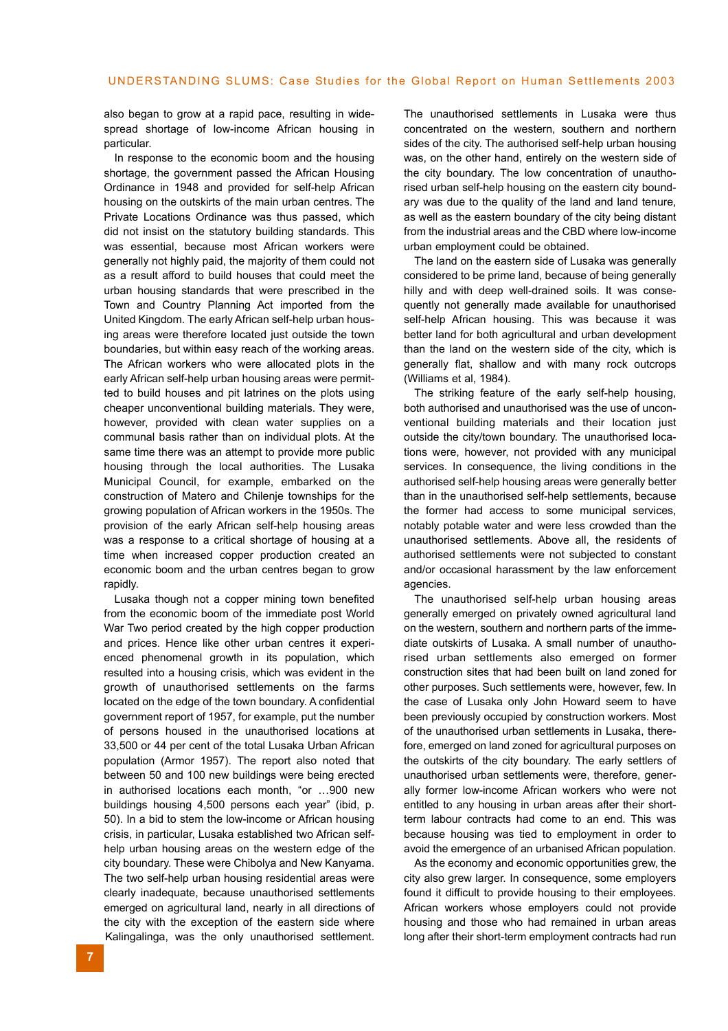also began to grow at a rapid pace, resulting in widespread shortage of low-income African housing in particular.

In response to the economic boom and the housing shortage, the government passed the African Housing Ordinance in 1948 and provided for self-help African housing on the outskirts of the main urban centres. The Private Locations Ordinance was thus passed, which did not insist on the statutory building standards. This was essential, because most African workers were generally not highly paid, the majority of them could not as a result afford to build houses that could meet the urban housing standards that were prescribed in the Town and Country Planning Act imported from the United Kingdom. The early African self-help urban housing areas were therefore located just outside the town boundaries, but within easy reach of the working areas. The African workers who were allocated plots in the early African self-help urban housing areas were permitted to build houses and pit latrines on the plots using cheaper unconventional building materials. They were, however, provided with clean water supplies on a communal basis rather than on individual plots. At the same time there was an attempt to provide more public housing through the local authorities. The Lusaka Municipal Council, for example, embarked on the construction of Matero and Chilenje townships for the growing population of African workers in the 1950s. The provision of the early African self-help housing areas was a response to a critical shortage of housing at a time when increased copper production created an economic boom and the urban centres began to grow rapidly.

Lusaka though not a copper mining town benefited from the economic boom of the immediate post World War Two period created by the high copper production and prices. Hence like other urban centres it experienced phenomenal growth in its population, which resulted into a housing crisis, which was evident in the growth of unauthorised settlements on the farms located on the edge of the town boundary. A confidential government report of 1957, for example, put the number of persons housed in the unauthorised locations at 33,500 or 44 per cent of the total Lusaka Urban African population (Armor 1957). The report also noted that between 50 and 100 new buildings were being erected in authorised locations each month, "or …900 new buildings housing 4,500 persons each year" (ibid, p. 50). In a bid to stem the low-income or African housing crisis, in particular, Lusaka established two African selfhelp urban housing areas on the western edge of the city boundary. These were Chibolya and New Kanyama. The two self-help urban housing residential areas were clearly inadequate, because unauthorised settlements emerged on agricultural land, nearly in all directions of the city with the exception of the eastern side where Kalingalinga, was the only unauthorised settlement.

The unauthorised settlements in Lusaka were thus concentrated on the western, southern and northern sides of the city. The authorised self-help urban housing was, on the other hand, entirely on the western side of the city boundary. The low concentration of unauthorised urban self-help housing on the eastern city boundary was due to the quality of the land and land tenure, as well as the eastern boundary of the city being distant from the industrial areas and the CBD where low-income urban employment could be obtained.

The land on the eastern side of Lusaka was generally considered to be prime land, because of being generally hilly and with deep well-drained soils. It was consequently not generally made available for unauthorised self-help African housing. This was because it was better land for both agricultural and urban development than the land on the western side of the city, which is generally flat, shallow and with many rock outcrops (Williams et al, 1984).

The striking feature of the early self-help housing, both authorised and unauthorised was the use of unconventional building materials and their location just outside the city/town boundary. The unauthorised locations were, however, not provided with any municipal services. In consequence, the living conditions in the authorised self-help housing areas were generally better than in the unauthorised self-help settlements, because the former had access to some municipal services, notably potable water and were less crowded than the unauthorised settlements. Above all, the residents of authorised settlements were not subjected to constant and/or occasional harassment by the law enforcement agencies.

The unauthorised self-help urban housing areas generally emerged on privately owned agricultural land on the western, southern and northern parts of the immediate outskirts of Lusaka. A small number of unauthorised urban settlements also emerged on former construction sites that had been built on land zoned for other purposes. Such settlements were, however, few. In the case of Lusaka only John Howard seem to have been previously occupied by construction workers. Most of the unauthorised urban settlements in Lusaka, therefore, emerged on land zoned for agricultural purposes on the outskirts of the city boundary. The early settlers of unauthorised urban settlements were, therefore, generally former low-income African workers who were not entitled to any housing in urban areas after their shortterm labour contracts had come to an end. This was because housing was tied to employment in order to avoid the emergence of an urbanised African population.

As the economy and economic opportunities grew, the city also grew larger. In consequence, some employers found it difficult to provide housing to their employees. African workers whose employers could not provide housing and those who had remained in urban areas long after their short-term employment contracts had run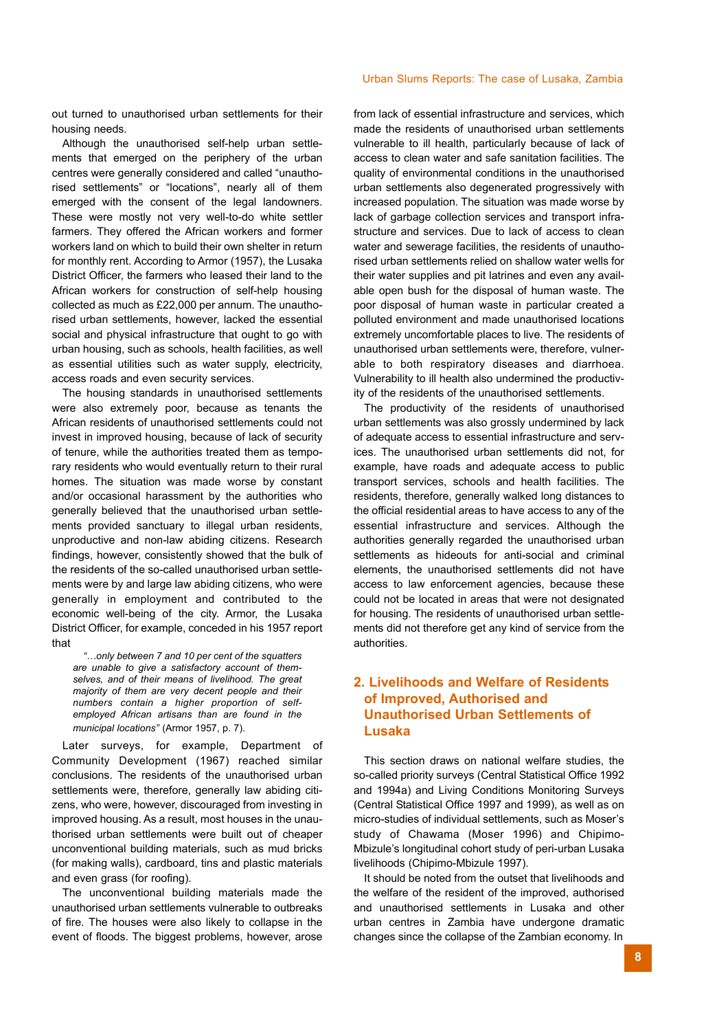out turned to unauthorised urban settlements for their housing needs.

Although the unauthorised self-help urban settlements that emerged on the periphery of the urban centres were generally considered and called "unauthorised settlements" or "locations", nearly all of them emerged with the consent of the legal landowners. These were mostly not very well-to-do white settler farmers. They offered the African workers and former workers land on which to build their own shelter in return for monthly rent. According to Armor (1957), the Lusaka District Officer, the farmers who leased their land to the African workers for construction of self-help housing collected as much as £22,000 per annum. The unauthorised urban settlements, however, lacked the essential social and physical infrastructure that ought to go with urban housing, such as schools, health facilities, as well as essential utilities such as water supply, electricity, access roads and even security services.

The housing standards in unauthorised settlements were also extremely poor, because as tenants the African residents of unauthorised settlements could not invest in improved housing, because of lack of security of tenure, while the authorities treated them as temporary residents who would eventually return to their rural homes. The situation was made worse by constant and/or occasional harassment by the authorities who generally believed that the unauthorised urban settlements provided sanctuary to illegal urban residents, unproductive and non-law abiding citizens. Research findings, however, consistently showed that the bulk of the residents of the so-called unauthorised urban settlements were by and large law abiding citizens, who were generally in employment and contributed to the economic well-being of the city. Armor, the Lusaka District Officer, for example, conceded in his 1957 report that

*"…only between 7 and 10 per cent of the squatters are unable to give a satisfactory account of themselves, and of their means of livelihood. The great majority of them are very decent people and their numbers contain a higher proportion of selfemployed African artisans than are found in the municipal locations"* (Armor 1957, p. 7).

Later surveys, for example, Department of Community Development (1967) reached similar conclusions. The residents of the unauthorised urban settlements were, therefore, generally law abiding citizens, who were, however, discouraged from investing in improved housing. As a result, most houses in the unauthorised urban settlements were built out of cheaper unconventional building materials, such as mud bricks (for making walls), cardboard, tins and plastic materials and even grass (for roofing).

The unconventional building materials made the unauthorised urban settlements vulnerable to outbreaks of fire. The houses were also likely to collapse in the event of floods. The biggest problems, however, arose from lack of essential infrastructure and services, which made the residents of unauthorised urban settlements vulnerable to ill health, particularly because of lack of access to clean water and safe sanitation facilities. The quality of environmental conditions in the unauthorised urban settlements also degenerated progressively with increased population. The situation was made worse by lack of garbage collection services and transport infrastructure and services. Due to lack of access to clean water and sewerage facilities, the residents of unauthorised urban settlements relied on shallow water wells for their water supplies and pit latrines and even any available open bush for the disposal of human waste. The poor disposal of human waste in particular created a polluted environment and made unauthorised locations extremely uncomfortable places to live. The residents of unauthorised urban settlements were, therefore, vulnerable to both respiratory diseases and diarrhoea. Vulnerability to ill health also undermined the productivity of the residents of the unauthorised settlements.

The productivity of the residents of unauthorised urban settlements was also grossly undermined by lack of adequate access to essential infrastructure and services. The unauthorised urban settlements did not, for example, have roads and adequate access to public transport services, schools and health facilities. The residents, therefore, generally walked long distances to the official residential areas to have access to any of the essential infrastructure and services. Although the authorities generally regarded the unauthorised urban settlements as hideouts for anti-social and criminal elements, the unauthorised settlements did not have access to law enforcement agencies, because these could not be located in areas that were not designated for housing. The residents of unauthorised urban settlements did not therefore get any kind of service from the authorities.

## **2. Livelihoods and Welfare of Residents of Improved, Authorised and Unauthorised Urban Settlements of Lusaka**

This section draws on national welfare studies, the so-called priority surveys (Central Statistical Office 1992 and 1994a) and Living Conditions Monitoring Surveys (Central Statistical Office 1997 and 1999), as well as on micro-studies of individual settlements, such as Moser's study of Chawama (Moser 1996) and Chipimo-Mbizule's longitudinal cohort study of peri-urban Lusaka livelihoods (Chipimo-Mbizule 1997).

It should be noted from the outset that livelihoods and the welfare of the resident of the improved, authorised and unauthorised settlements in Lusaka and other urban centres in Zambia have undergone dramatic changes since the collapse of the Zambian economy. In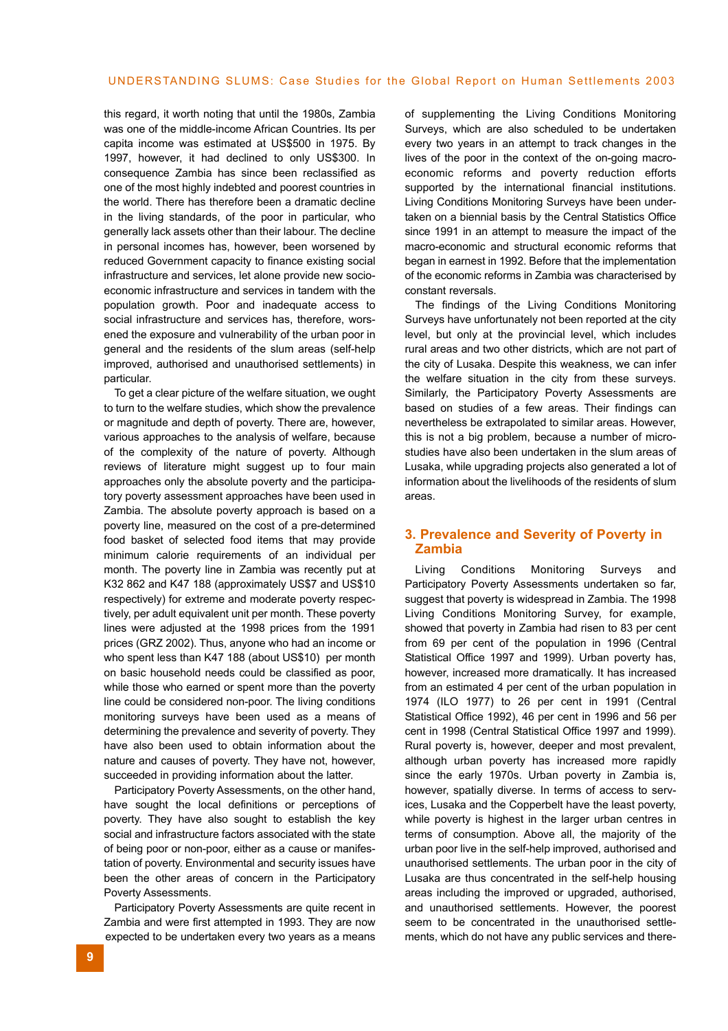this regard, it worth noting that until the 1980s, Zambia was one of the middle-income African Countries. Its per capita income was estimated at US\$500 in 1975. By 1997, however, it had declined to only US\$300. In consequence Zambia has since been reclassified as one of the most highly indebted and poorest countries in the world. There has therefore been a dramatic decline in the living standards, of the poor in particular, who generally lack assets other than their labour. The decline in personal incomes has, however, been worsened by reduced Government capacity to finance existing social infrastructure and services, let alone provide new socioeconomic infrastructure and services in tandem with the population growth. Poor and inadequate access to social infrastructure and services has, therefore, worsened the exposure and vulnerability of the urban poor in general and the residents of the slum areas (self-help improved, authorised and unauthorised settlements) in particular.

To get a clear picture of the welfare situation, we ought to turn to the welfare studies, which show the prevalence or magnitude and depth of poverty. There are, however, various approaches to the analysis of welfare, because of the complexity of the nature of poverty. Although reviews of literature might suggest up to four main approaches only the absolute poverty and the participatory poverty assessment approaches have been used in Zambia. The absolute poverty approach is based on a poverty line, measured on the cost of a pre-determined food basket of selected food items that may provide minimum calorie requirements of an individual per month. The poverty line in Zambia was recently put at K32 862 and K47 188 (approximately US\$7 and US\$10 respectively) for extreme and moderate poverty respectively, per adult equivalent unit per month. These poverty lines were adjusted at the 1998 prices from the 1991 prices (GRZ 2002). Thus, anyone who had an income or who spent less than K47 188 (about US\$10) per month on basic household needs could be classified as poor, while those who earned or spent more than the poverty line could be considered non-poor. The living conditions monitoring surveys have been used as a means of determining the prevalence and severity of poverty. They have also been used to obtain information about the nature and causes of poverty. They have not, however, succeeded in providing information about the latter.

Participatory Poverty Assessments, on the other hand, have sought the local definitions or perceptions of poverty. They have also sought to establish the key social and infrastructure factors associated with the state of being poor or non-poor, either as a cause or manifestation of poverty. Environmental and security issues have been the other areas of concern in the Participatory Poverty Assessments.

Participatory Poverty Assessments are quite recent in Zambia and were first attempted in 1993. They are now expected to be undertaken every two years as a means of supplementing the Living Conditions Monitoring Surveys, which are also scheduled to be undertaken every two years in an attempt to track changes in the lives of the poor in the context of the on-going macroeconomic reforms and poverty reduction efforts supported by the international financial institutions. Living Conditions Monitoring Surveys have been undertaken on a biennial basis by the Central Statistics Office since 1991 in an attempt to measure the impact of the macro-economic and structural economic reforms that began in earnest in 1992. Before that the implementation of the economic reforms in Zambia was characterised by constant reversals.

The findings of the Living Conditions Monitoring Surveys have unfortunately not been reported at the city level, but only at the provincial level, which includes rural areas and two other districts, which are not part of the city of Lusaka. Despite this weakness, we can infer the welfare situation in the city from these surveys. Similarly, the Participatory Poverty Assessments are based on studies of a few areas. Their findings can nevertheless be extrapolated to similar areas. However, this is not a big problem, because a number of microstudies have also been undertaken in the slum areas of Lusaka, while upgrading projects also generated a lot of information about the livelihoods of the residents of slum areas.

### **3. Prevalence and Severity of Poverty in Zambia**

Living Conditions Monitoring Surveys and Participatory Poverty Assessments undertaken so far, suggest that poverty is widespread in Zambia. The 1998 Living Conditions Monitoring Survey, for example, showed that poverty in Zambia had risen to 83 per cent from 69 per cent of the population in 1996 (Central Statistical Office 1997 and 1999). Urban poverty has, however, increased more dramatically. It has increased from an estimated 4 per cent of the urban population in 1974 (ILO 1977) to 26 per cent in 1991 (Central Statistical Office 1992), 46 per cent in 1996 and 56 per cent in 1998 (Central Statistical Office 1997 and 1999). Rural poverty is, however, deeper and most prevalent, although urban poverty has increased more rapidly since the early 1970s. Urban poverty in Zambia is, however, spatially diverse. In terms of access to services, Lusaka and the Copperbelt have the least poverty, while poverty is highest in the larger urban centres in terms of consumption. Above all, the majority of the urban poor live in the self-help improved, authorised and unauthorised settlements. The urban poor in the city of Lusaka are thus concentrated in the self-help housing areas including the improved or upgraded, authorised, and unauthorised settlements. However, the poorest seem to be concentrated in the unauthorised settlements, which do not have any public services and there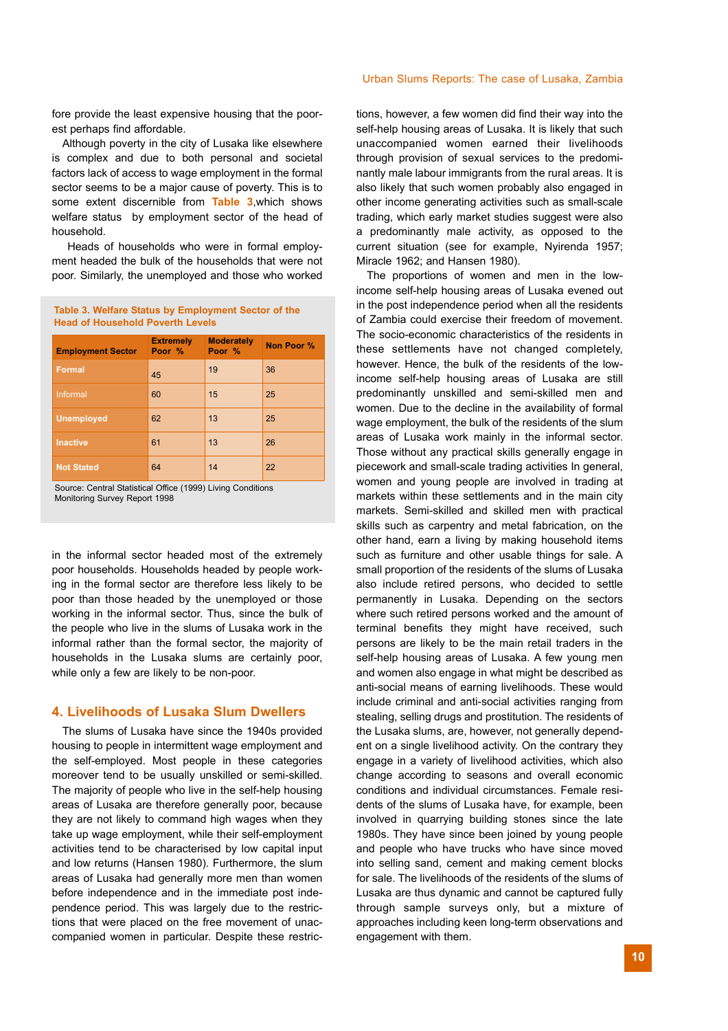fore provide the least expensive housing that the poorest perhaps find affordable.

Although poverty in the city of Lusaka like elsewhere is complex and due to both personal and societal factors lack of access to wage employment in the formal sector seems to be a major cause of poverty. This is to some extent discernible from **Table 3**,which shows welfare status by employment sector of the head of household.

Heads of households who were in formal employment headed the bulk of the households that were not poor. Similarly, the unemployed and those who worked

**Table 3. Welfare Status by Employment Sector of the Head of Household Poverth Levels**

| <b>Employment Sector</b> | <b>Extremely</b><br>Poor % | <b>Moderately</b><br>Poor % | Non Poor % |
|--------------------------|----------------------------|-----------------------------|------------|
| Formal                   | 45                         | 19                          | 36         |
| Informal                 | 60                         | 15                          | 25         |
| <b>Unemployed</b>        | 62                         | 13                          | 25         |
| <b>Inactive</b>          | 61                         | 13                          | 26         |
| <b>Not Stated</b>        | 64                         | 14                          | 22         |

Source: Central Statistical Office (1999) Living Conditions Monitoring Survey Report 1998

in the informal sector headed most of the extremely poor households. Households headed by people working in the formal sector are therefore less likely to be poor than those headed by the unemployed or those working in the informal sector. Thus, since the bulk of the people who live in the slums of Lusaka work in the informal rather than the formal sector, the majority of households in the Lusaka slums are certainly poor, while only a few are likely to be non-poor.

#### **4. Livelihoods of Lusaka Slum Dwellers**

The slums of Lusaka have since the 1940s provided housing to people in intermittent wage employment and the self-employed. Most people in these categories moreover tend to be usually unskilled or semi-skilled. The majority of people who live in the self-help housing areas of Lusaka are therefore generally poor, because they are not likely to command high wages when they take up wage employment, while their self-employment activities tend to be characterised by low capital input and low returns (Hansen 1980). Furthermore, the slum areas of Lusaka had generally more men than women before independence and in the immediate post independence period. This was largely due to the restrictions that were placed on the free movement of unaccompanied women in particular. Despite these restrictions, however, a few women did find their way into the self-help housing areas of Lusaka. It is likely that such unaccompanied women earned their livelihoods through provision of sexual services to the predominantly male labour immigrants from the rural areas. It is also likely that such women probably also engaged in other income generating activities such as small-scale trading, which early market studies suggest were also a predominantly male activity, as opposed to the current situation (see for example, Nyirenda 1957; Miracle 1962; and Hansen 1980).

The proportions of women and men in the lowincome self-help housing areas of Lusaka evened out in the post independence period when all the residents of Zambia could exercise their freedom of movement. The socio-economic characteristics of the residents in these settlements have not changed completely, however. Hence, the bulk of the residents of the lowincome self-help housing areas of Lusaka are still predominantly unskilled and semi-skilled men and women. Due to the decline in the availability of formal wage employment, the bulk of the residents of the slum areas of Lusaka work mainly in the informal sector. Those without any practical skills generally engage in piecework and small-scale trading activities In general, women and young people are involved in trading at markets within these settlements and in the main city markets. Semi-skilled and skilled men with practical skills such as carpentry and metal fabrication, on the other hand, earn a living by making household items such as furniture and other usable things for sale. A small proportion of the residents of the slums of Lusaka also include retired persons, who decided to settle permanently in Lusaka. Depending on the sectors where such retired persons worked and the amount of terminal benefits they might have received, such persons are likely to be the main retail traders in the self-help housing areas of Lusaka. A few young men and women also engage in what might be described as anti-social means of earning livelihoods. These would include criminal and anti-social activities ranging from stealing, selling drugs and prostitution. The residents of the Lusaka slums, are, however, not generally dependent on a single livelihood activity. On the contrary they engage in a variety of livelihood activities, which also change according to seasons and overall economic conditions and individual circumstances. Female residents of the slums of Lusaka have, for example, been involved in quarrying building stones since the late 1980s. They have since been joined by young people and people who have trucks who have since moved into selling sand, cement and making cement blocks for sale. The livelihoods of the residents of the slums of Lusaka are thus dynamic and cannot be captured fully through sample surveys only, but a mixture of approaches including keen long-term observations and engagement with them.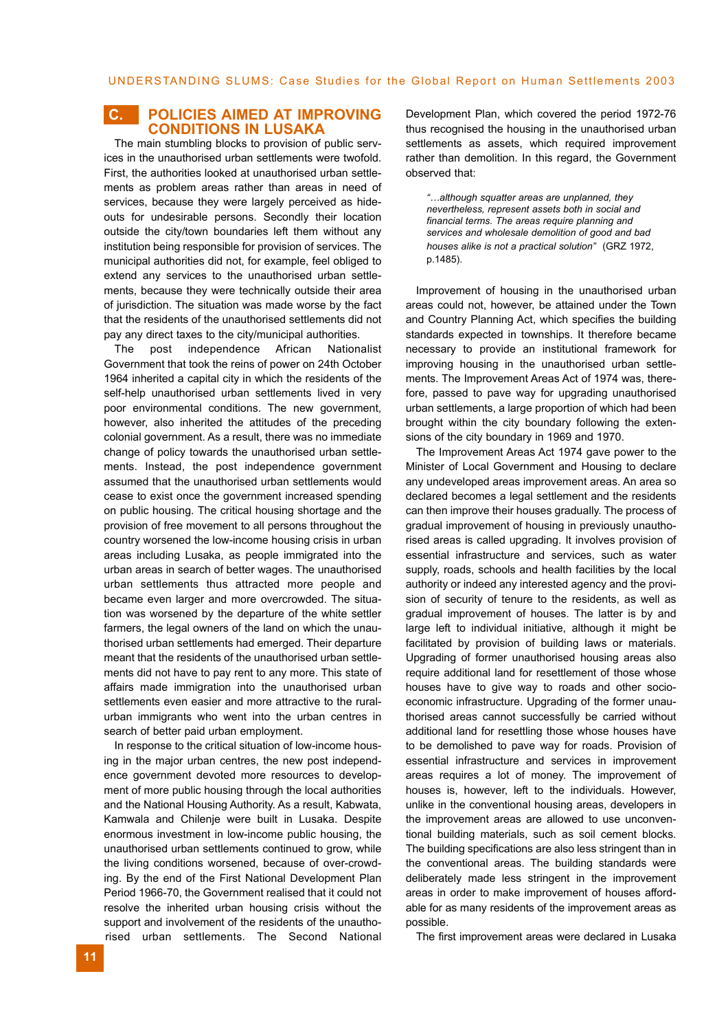### **C. POLICIES AIMED AT IMPROVING CONDITIONS IN LUSAKA**

The main stumbling blocks to provision of public services in the unauthorised urban settlements were twofold. First, the authorities looked at unauthorised urban settlements as problem areas rather than areas in need of services, because they were largely perceived as hideouts for undesirable persons. Secondly their location outside the city/town boundaries left them without any institution being responsible for provision of services. The municipal authorities did not, for example, feel obliged to extend any services to the unauthorised urban settlements, because they were technically outside their area of jurisdiction. The situation was made worse by the fact that the residents of the unauthorised settlements did not pay any direct taxes to the city/municipal authorities.

The post independence African Nationalist Government that took the reins of power on 24th October 1964 inherited a capital city in which the residents of the self-help unauthorised urban settlements lived in very poor environmental conditions. The new government, however, also inherited the attitudes of the preceding colonial government. As a result, there was no immediate change of policy towards the unauthorised urban settlements. Instead, the post independence government assumed that the unauthorised urban settlements would cease to exist once the government increased spending on public housing. The critical housing shortage and the provision of free movement to all persons throughout the country worsened the low-income housing crisis in urban areas including Lusaka, as people immigrated into the urban areas in search of better wages. The unauthorised urban settlements thus attracted more people and became even larger and more overcrowded. The situation was worsened by the departure of the white settler farmers, the legal owners of the land on which the unauthorised urban settlements had emerged. Their departure meant that the residents of the unauthorised urban settlements did not have to pay rent to any more. This state of affairs made immigration into the unauthorised urban settlements even easier and more attractive to the ruralurban immigrants who went into the urban centres in search of better paid urban employment.

In response to the critical situation of low-income housing in the major urban centres, the new post independence government devoted more resources to development of more public housing through the local authorities and the National Housing Authority. As a result, Kabwata, Kamwala and Chilenje were built in Lusaka. Despite enormous investment in low-income public housing, the unauthorised urban settlements continued to grow, while the living conditions worsened, because of over-crowding. By the end of the First National Development Plan Period 1966-70, the Government realised that it could not resolve the inherited urban housing crisis without the support and involvement of the residents of the unauthorised urban settlements. The Second National Development Plan, which covered the period 1972-76 thus recognised the housing in the unauthorised urban settlements as assets, which required improvement rather than demolition. In this regard, the Government observed that:

*"…although squatter areas are unplanned, they nevertheless, represent assets both in social and financial terms. The areas require planning and services and wholesale demolition of good and bad houses alike is not a practical solution"* (GRZ 1972, p.1485).

Improvement of housing in the unauthorised urban areas could not, however, be attained under the Town and Country Planning Act, which specifies the building standards expected in townships. It therefore became necessary to provide an institutional framework for improving housing in the unauthorised urban settlements. The Improvement Areas Act of 1974 was, therefore, passed to pave way for upgrading unauthorised urban settlements, a large proportion of which had been brought within the city boundary following the extensions of the city boundary in 1969 and 1970.

The Improvement Areas Act 1974 gave power to the Minister of Local Government and Housing to declare any undeveloped areas improvement areas. An area so declared becomes a legal settlement and the residents can then improve their houses gradually. The process of gradual improvement of housing in previously unauthorised areas is called upgrading. It involves provision of essential infrastructure and services, such as water supply, roads, schools and health facilities by the local authority or indeed any interested agency and the provision of security of tenure to the residents, as well as gradual improvement of houses. The latter is by and large left to individual initiative, although it might be facilitated by provision of building laws or materials. Upgrading of former unauthorised housing areas also require additional land for resettlement of those whose houses have to give way to roads and other socioeconomic infrastructure. Upgrading of the former unauthorised areas cannot successfully be carried without additional land for resettling those whose houses have to be demolished to pave way for roads. Provision of essential infrastructure and services in improvement areas requires a lot of money. The improvement of houses is, however, left to the individuals. However, unlike in the conventional housing areas, developers in the improvement areas are allowed to use unconventional building materials, such as soil cement blocks. The building specifications are also less stringent than in the conventional areas. The building standards were deliberately made less stringent in the improvement areas in order to make improvement of houses affordable for as many residents of the improvement areas as possible.

The first improvement areas were declared in Lusaka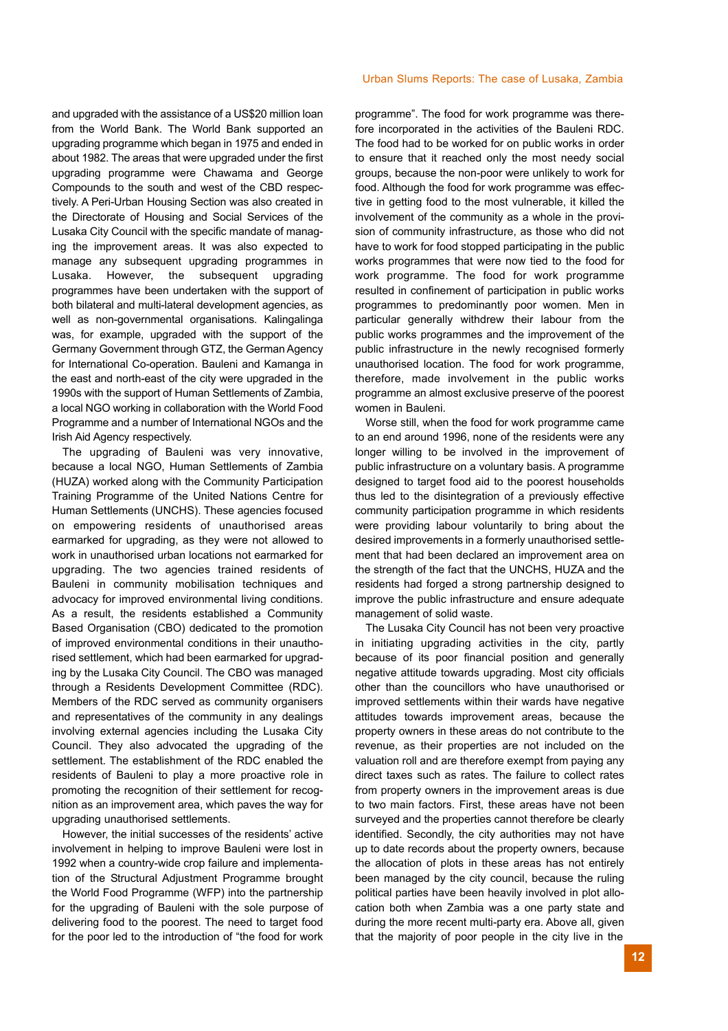and upgraded with the assistance of a US\$20 million loan from the World Bank. The World Bank supported an upgrading programme which began in 1975 and ended in about 1982. The areas that were upgraded under the first upgrading programme were Chawama and George Compounds to the south and west of the CBD respectively. A Peri-Urban Housing Section was also created in the Directorate of Housing and Social Services of the Lusaka City Council with the specific mandate of managing the improvement areas. It was also expected to manage any subsequent upgrading programmes in Lusaka. However, the subsequent upgrading programmes have been undertaken with the support of both bilateral and multi-lateral development agencies, as well as non-governmental organisations. Kalingalinga was, for example, upgraded with the support of the Germany Government through GTZ, the German Agency for International Co-operation. Bauleni and Kamanga in the east and north-east of the city were upgraded in the 1990s with the support of Human Settlements of Zambia, a local NGO working in collaboration with the World Food Programme and a number of International NGOs and the Irish Aid Agency respectively.

The upgrading of Bauleni was very innovative, because a local NGO, Human Settlements of Zambia (HUZA) worked along with the Community Participation Training Programme of the United Nations Centre for Human Settlements (UNCHS). These agencies focused on empowering residents of unauthorised areas earmarked for upgrading, as they were not allowed to work in unauthorised urban locations not earmarked for upgrading. The two agencies trained residents of Bauleni in community mobilisation techniques and advocacy for improved environmental living conditions. As a result, the residents established a Community Based Organisation (CBO) dedicated to the promotion of improved environmental conditions in their unauthorised settlement, which had been earmarked for upgrading by the Lusaka City Council. The CBO was managed through a Residents Development Committee (RDC). Members of the RDC served as community organisers and representatives of the community in any dealings involving external agencies including the Lusaka City Council. They also advocated the upgrading of the settlement. The establishment of the RDC enabled the residents of Bauleni to play a more proactive role in promoting the recognition of their settlement for recognition as an improvement area, which paves the way for upgrading unauthorised settlements.

However, the initial successes of the residents' active involvement in helping to improve Bauleni were lost in 1992 when a country-wide crop failure and implementation of the Structural Adjustment Programme brought the World Food Programme (WFP) into the partnership for the upgrading of Bauleni with the sole purpose of delivering food to the poorest. The need to target food for the poor led to the introduction of "the food for work

programme". The food for work programme was therefore incorporated in the activities of the Bauleni RDC. The food had to be worked for on public works in order to ensure that it reached only the most needy social groups, because the non-poor were unlikely to work for food. Although the food for work programme was effective in getting food to the most vulnerable, it killed the involvement of the community as a whole in the provision of community infrastructure, as those who did not have to work for food stopped participating in the public works programmes that were now tied to the food for work programme. The food for work programme resulted in confinement of participation in public works programmes to predominantly poor women. Men in particular generally withdrew their labour from the public works programmes and the improvement of the public infrastructure in the newly recognised formerly unauthorised location. The food for work programme, therefore, made involvement in the public works programme an almost exclusive preserve of the poorest women in Bauleni.

Worse still, when the food for work programme came to an end around 1996, none of the residents were any longer willing to be involved in the improvement of public infrastructure on a voluntary basis. A programme designed to target food aid to the poorest households thus led to the disintegration of a previously effective community participation programme in which residents were providing labour voluntarily to bring about the desired improvements in a formerly unauthorised settlement that had been declared an improvement area on the strength of the fact that the UNCHS, HUZA and the residents had forged a strong partnership designed to improve the public infrastructure and ensure adequate management of solid waste.

The Lusaka City Council has not been very proactive in initiating upgrading activities in the city, partly because of its poor financial position and generally negative attitude towards upgrading. Most city officials other than the councillors who have unauthorised or improved settlements within their wards have negative attitudes towards improvement areas, because the property owners in these areas do not contribute to the revenue, as their properties are not included on the valuation roll and are therefore exempt from paying any direct taxes such as rates. The failure to collect rates from property owners in the improvement areas is due to two main factors. First, these areas have not been surveyed and the properties cannot therefore be clearly identified. Secondly, the city authorities may not have up to date records about the property owners, because the allocation of plots in these areas has not entirely been managed by the city council, because the ruling political parties have been heavily involved in plot allocation both when Zambia was a one party state and during the more recent multi-party era. Above all, given that the majority of poor people in the city live in the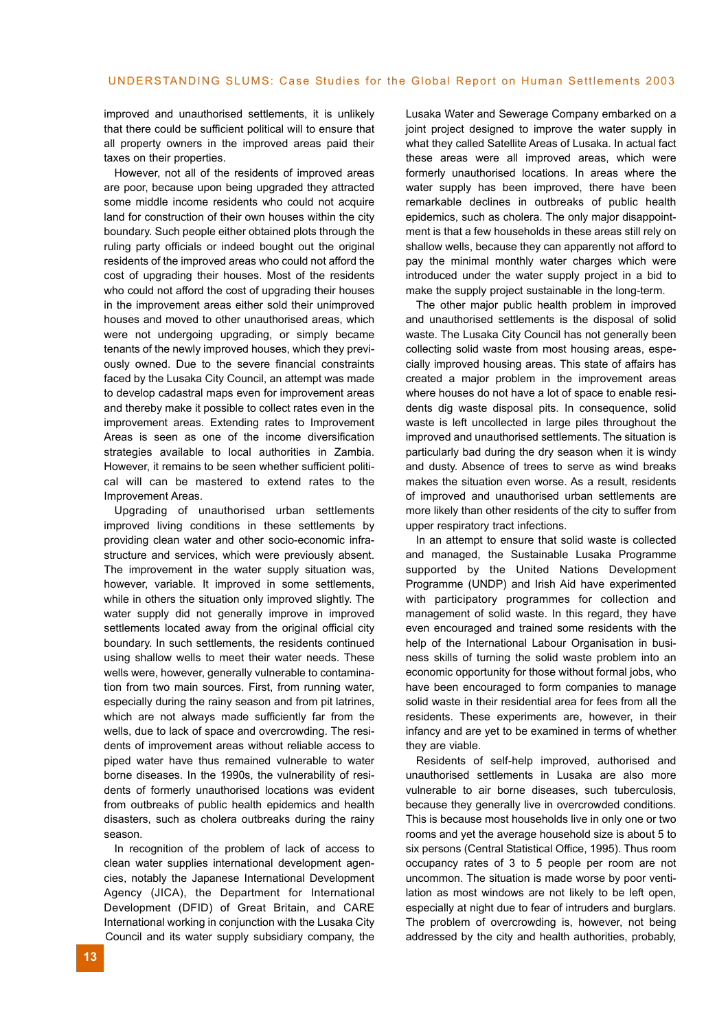improved and unauthorised settlements, it is unlikely that there could be sufficient political will to ensure that all property owners in the improved areas paid their taxes on their properties.

However, not all of the residents of improved areas are poor, because upon being upgraded they attracted some middle income residents who could not acquire land for construction of their own houses within the city boundary. Such people either obtained plots through the ruling party officials or indeed bought out the original residents of the improved areas who could not afford the cost of upgrading their houses. Most of the residents who could not afford the cost of upgrading their houses in the improvement areas either sold their unimproved houses and moved to other unauthorised areas, which were not undergoing upgrading, or simply became tenants of the newly improved houses, which they previously owned. Due to the severe financial constraints faced by the Lusaka City Council, an attempt was made to develop cadastral maps even for improvement areas and thereby make it possible to collect rates even in the improvement areas. Extending rates to Improvement Areas is seen as one of the income diversification strategies available to local authorities in Zambia. However, it remains to be seen whether sufficient political will can be mastered to extend rates to the Improvement Areas.

Upgrading of unauthorised urban settlements improved living conditions in these settlements by providing clean water and other socio-economic infrastructure and services, which were previously absent. The improvement in the water supply situation was, however, variable. It improved in some settlements, while in others the situation only improved slightly. The water supply did not generally improve in improved settlements located away from the original official city boundary. In such settlements, the residents continued using shallow wells to meet their water needs. These wells were, however, generally vulnerable to contamination from two main sources. First, from running water, especially during the rainy season and from pit latrines, which are not always made sufficiently far from the wells, due to lack of space and overcrowding. The residents of improvement areas without reliable access to piped water have thus remained vulnerable to water borne diseases. In the 1990s, the vulnerability of residents of formerly unauthorised locations was evident from outbreaks of public health epidemics and health disasters, such as cholera outbreaks during the rainy season.

In recognition of the problem of lack of access to clean water supplies international development agencies, notably the Japanese International Development Agency (JICA), the Department for International Development (DFID) of Great Britain, and CARE International working in conjunction with the Lusaka City Council and its water supply subsidiary company, the

Lusaka Water and Sewerage Company embarked on a joint project designed to improve the water supply in what they called Satellite Areas of Lusaka. In actual fact these areas were all improved areas, which were formerly unauthorised locations. In areas where the water supply has been improved, there have been remarkable declines in outbreaks of public health epidemics, such as cholera. The only major disappointment is that a few households in these areas still rely on shallow wells, because they can apparently not afford to pay the minimal monthly water charges which were introduced under the water supply project in a bid to make the supply project sustainable in the long-term.

The other major public health problem in improved and unauthorised settlements is the disposal of solid waste. The Lusaka City Council has not generally been collecting solid waste from most housing areas, especially improved housing areas. This state of affairs has created a major problem in the improvement areas where houses do not have a lot of space to enable residents dig waste disposal pits. In consequence, solid waste is left uncollected in large piles throughout the improved and unauthorised settlements. The situation is particularly bad during the dry season when it is windy and dusty. Absence of trees to serve as wind breaks makes the situation even worse. As a result, residents of improved and unauthorised urban settlements are more likely than other residents of the city to suffer from upper respiratory tract infections.

In an attempt to ensure that solid waste is collected and managed, the Sustainable Lusaka Programme supported by the United Nations Development Programme (UNDP) and Irish Aid have experimented with participatory programmes for collection and management of solid waste. In this regard, they have even encouraged and trained some residents with the help of the International Labour Organisation in business skills of turning the solid waste problem into an economic opportunity for those without formal jobs, who have been encouraged to form companies to manage solid waste in their residential area for fees from all the residents. These experiments are, however, in their infancy and are yet to be examined in terms of whether they are viable.

Residents of self-help improved, authorised and unauthorised settlements in Lusaka are also more vulnerable to air borne diseases, such tuberculosis, because they generally live in overcrowded conditions. This is because most households live in only one or two rooms and yet the average household size is about 5 to six persons (Central Statistical Office, 1995). Thus room occupancy rates of 3 to 5 people per room are not uncommon. The situation is made worse by poor ventilation as most windows are not likely to be left open, especially at night due to fear of intruders and burglars. The problem of overcrowding is, however, not being addressed by the city and health authorities, probably,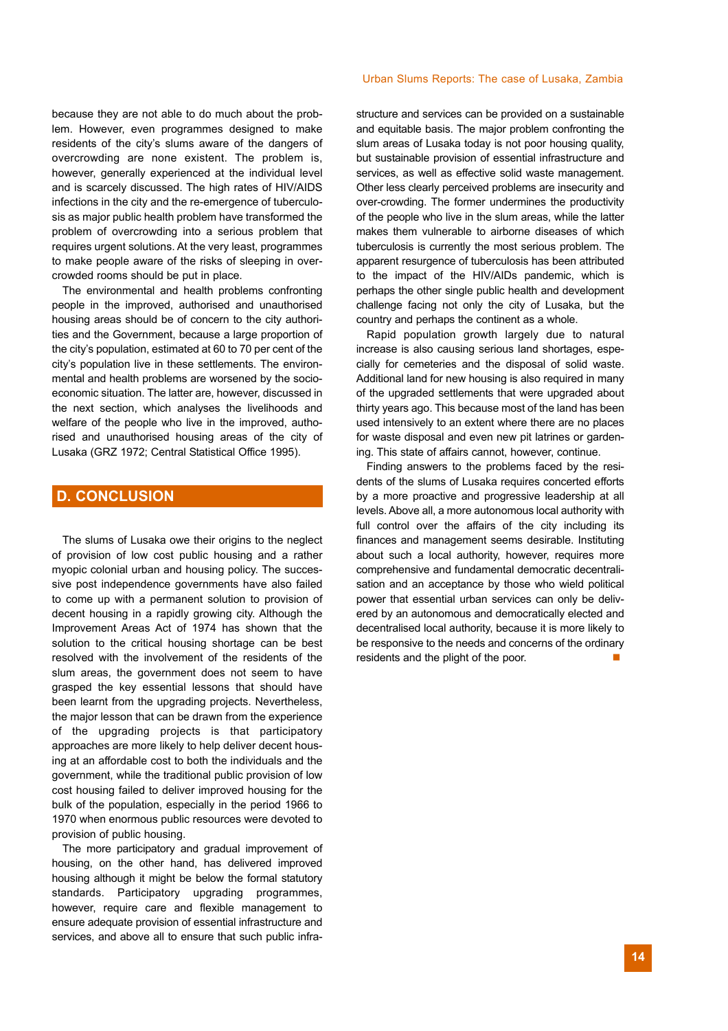because they are not able to do much about the problem. However, even programmes designed to make residents of the city's slums aware of the dangers of overcrowding are none existent. The problem is, however, generally experienced at the individual level and is scarcely discussed. The high rates of HIV/AIDS infections in the city and the re-emergence of tuberculosis as major public health problem have transformed the problem of overcrowding into a serious problem that requires urgent solutions. At the very least, programmes to make people aware of the risks of sleeping in overcrowded rooms should be put in place.

The environmental and health problems confronting people in the improved, authorised and unauthorised housing areas should be of concern to the city authorities and the Government, because a large proportion of the city's population, estimated at 60 to 70 per cent of the city's population live in these settlements. The environmental and health problems are worsened by the socioeconomic situation. The latter are, however, discussed in the next section, which analyses the livelihoods and welfare of the people who live in the improved, authorised and unauthorised housing areas of the city of Lusaka (GRZ 1972; Central Statistical Office 1995).

### **D. CONCLUSION**

The slums of Lusaka owe their origins to the neglect of provision of low cost public housing and a rather myopic colonial urban and housing policy. The successive post independence governments have also failed to come up with a permanent solution to provision of decent housing in a rapidly growing city. Although the Improvement Areas Act of 1974 has shown that the solution to the critical housing shortage can be best resolved with the involvement of the residents of the slum areas, the government does not seem to have grasped the key essential lessons that should have been learnt from the upgrading projects. Nevertheless, the major lesson that can be drawn from the experience of the upgrading projects is that participatory approaches are more likely to help deliver decent housing at an affordable cost to both the individuals and the government, while the traditional public provision of low cost housing failed to deliver improved housing for the bulk of the population, especially in the period 1966 to 1970 when enormous public resources were devoted to provision of public housing.

The more participatory and gradual improvement of housing, on the other hand, has delivered improved housing although it might be below the formal statutory standards. Participatory upgrading programmes, however, require care and flexible management to ensure adequate provision of essential infrastructure and services, and above all to ensure that such public infrastructure and services can be provided on a sustainable and equitable basis. The major problem confronting the slum areas of Lusaka today is not poor housing quality, but sustainable provision of essential infrastructure and services, as well as effective solid waste management. Other less clearly perceived problems are insecurity and over-crowding. The former undermines the productivity of the people who live in the slum areas, while the latter makes them vulnerable to airborne diseases of which tuberculosis is currently the most serious problem. The apparent resurgence of tuberculosis has been attributed to the impact of the HIV/AIDs pandemic, which is perhaps the other single public health and development challenge facing not only the city of Lusaka, but the country and perhaps the continent as a whole.

Rapid population growth largely due to natural increase is also causing serious land shortages, especially for cemeteries and the disposal of solid waste. Additional land for new housing is also required in many of the upgraded settlements that were upgraded about thirty years ago. This because most of the land has been used intensively to an extent where there are no places for waste disposal and even new pit latrines or gardening. This state of affairs cannot, however, continue.

Finding answers to the problems faced by the residents of the slums of Lusaka requires concerted efforts by a more proactive and progressive leadership at all levels. Above all, a more autonomous local authority with full control over the affairs of the city including its finances and management seems desirable. Instituting about such a local authority, however, requires more comprehensive and fundamental democratic decentralisation and an acceptance by those who wield political power that essential urban services can only be delivered by an autonomous and democratically elected and decentralised local authority, because it is more likely to be responsive to the needs and concerns of the ordinary residents and the plight of the poor.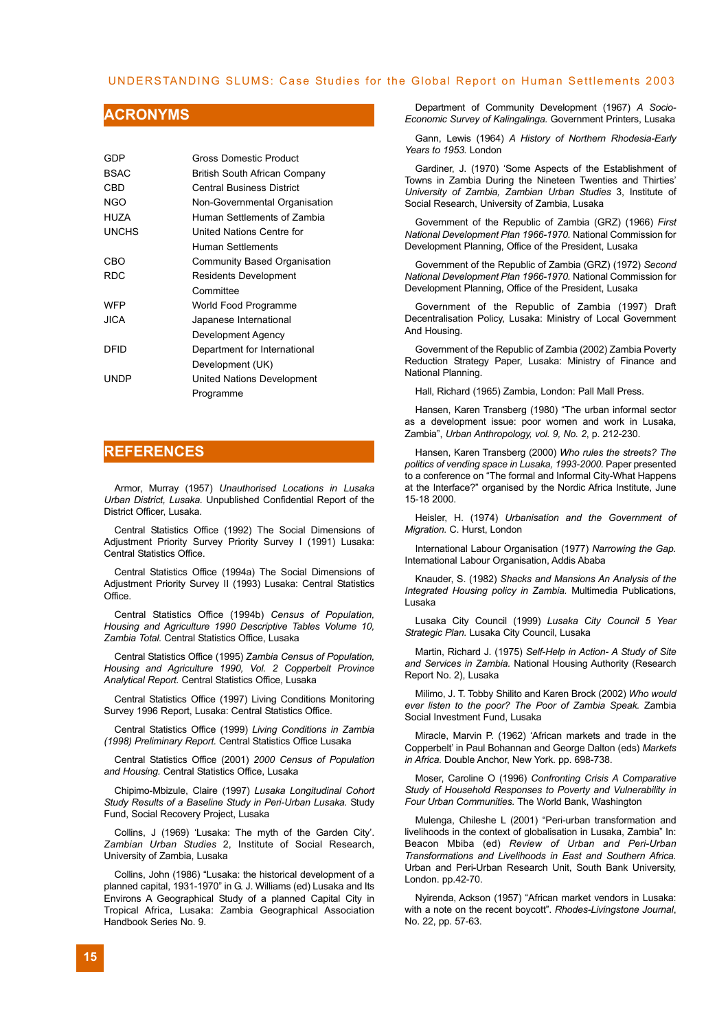#### UNDERSTANDING SLUMS: Case Studies for the Global Report on Human Settlements 2003

### **ACRONYMS**

| GDP         | Gross Domestic Product        |
|-------------|-------------------------------|
| <b>BSAC</b> | British South African Company |
| CBD         | Central Business District     |
| NGO         | Non-Governmental Organisation |
| <b>HUZA</b> | Human Settlements of Zambia   |
| UNCHS       | United Nations Centre for     |
|             | Human Settlements             |
| CBO         | Community Based Organisation  |
| RDC         | <b>Residents Development</b>  |
|             | Committee                     |
| WFP         | World Food Programme          |
| JICA.       | Japanese International        |
|             | Development Agency            |
| DEID        | Department for International  |
|             | Development (UK)              |
| UNDP        | United Nations Development    |
|             | Programme                     |

### **REFERENCES**

Armor, Murray (1957) *Unauthorised Locations in Lusaka Urban District, Lusaka.* Unpublished Confidential Report of the District Officer, Lusaka.

Central Statistics Office (1992) The Social Dimensions of Adjustment Priority Survey Priority Survey I (1991) Lusaka: Central Statistics Office.

Central Statistics Office (1994a) The Social Dimensions of Adjustment Priority Survey II (1993) Lusaka: Central Statistics **Office** 

Central Statistics Office (1994b) *Census of Population, Housing and Agriculture 1990 Descriptive Tables Volume 10, Zambia Total.* Central Statistics Office, Lusaka

Central Statistics Office (1995) *Zambia Census of Population, Housing and Agriculture 1990, Vol. 2 Copperbelt Province Analytical Report.* Central Statistics Office, Lusaka

Central Statistics Office (1997) Living Conditions Monitoring Survey 1996 Report, Lusaka: Central Statistics Office.

Central Statistics Office (1999) *Living Conditions in Zambia (1998) Preliminary Report.* Central Statistics Office Lusaka

Central Statistics Office (2001) *2000 Census of Population and Housing.* Central Statistics Office, Lusaka

Chipimo-Mbizule, Claire (1997) *Lusaka Longitudinal Cohort Study Results of a Baseline Study in Peri-Urban Lusaka.* Study Fund, Social Recovery Project, Lusaka

Collins, J (1969) 'Lusaka: The myth of the Garden City'. *Zambian Urban Studies* 2, Institute of Social Research, University of Zambia, Lusaka

Collins, John (1986) "Lusaka: the historical development of a planned capital, 1931-1970" in G. J. Williams (ed) Lusaka and Its Environs A Geographical Study of a planned Capital City in Tropical Africa, Lusaka: Zambia Geographical Association Handbook Series No. 9.

Department of Community Development (1967) *A Socio-Economic Survey of Kalingalinga.* Government Printers, Lusaka

Gann, Lewis (1964) *A History of Northern Rhodesia-Early Years to 1953.* London

Gardiner, J. (1970) 'Some Aspects of the Establishment of Towns in Zambia During the Nineteen Twenties and Thirties' *University of Zambia, Zambian Urban Studies* 3, Institute of Social Research, University of Zambia, Lusaka

Government of the Republic of Zambia (GRZ) (1966) *First National Development Plan 1966-1970.* National Commission for Development Planning, Office of the President, Lusaka

Government of the Republic of Zambia (GRZ) (1972) *Second National Development Plan 1966-1970.* National Commission for Development Planning, Office of the President, Lusaka

Government of the Republic of Zambia (1997) Draft Decentralisation Policy, Lusaka: Ministry of Local Government And Housing.

Government of the Republic of Zambia (2002) Zambia Poverty Reduction Strategy Paper, Lusaka: Ministry of Finance and National Planning.

Hall, Richard (1965) Zambia, London: Pall Mall Press.

Hansen, Karen Transberg (1980) "The urban informal sector as a development issue: poor women and work in Lusaka, Zambia", *Urban Anthropology, vol. 9, No. 2*, p. 212-230.

Hansen, Karen Transberg (2000) *Who rules the streets? The politics of vending space in Lusaka, 1993-2000.* Paper presented to a conference on "The formal and Informal City-What Happens at the Interface?" organised by the Nordic Africa Institute, June 15-18 2000.

Heisler, H. (1974) *Urbanisation and the Government of Migration.* C. Hurst, London

International Labour Organisation (1977) *Narrowing the Gap.* International Labour Organisation, Addis Ababa

Knauder, S. (1982) *Shacks and Mansions An Analysis of the Integrated Housing policy in Zambia.* Multimedia Publications, Lusaka

Lusaka City Council (1999) *Lusaka City Council 5 Year Strategic Plan.* Lusaka City Council, Lusaka

Martin, Richard J. (1975) *Self-Help in Action- A Study of Site and Services in Zambia.* National Housing Authority (Research Report No. 2), Lusaka

Milimo, J. T. Tobby Shilito and Karen Brock (2002) *Who would ever listen to the poor? The Poor of Zambia Speak.* Zambia Social Investment Fund, Lusaka

Miracle, Marvin P. (1962) 'African markets and trade in the Copperbelt' in Paul Bohannan and George Dalton (eds) *Markets in Africa.* Double Anchor, New York. pp. 698-738.

Moser, Caroline O (1996) *Confronting Crisis A Comparative Study of Household Responses to Poverty and Vulnerability in Four Urban Communities.* The World Bank, Washington

Mulenga, Chileshe L (2001) "Peri-urban transformation and livelihoods in the context of globalisation in Lusaka, Zambia" In: Beacon Mbiba (ed) *Review of Urban and Peri-Urban Transformations and Livelihoods in East and Southern Africa.* Urban and Peri-Urban Research Unit, South Bank University, London. pp.42-70.

Nyirenda, Ackson (1957) "African market vendors in Lusaka: with a note on the recent boycott". *Rhodes-Livingstone Journal*, No. 22, pp. 57-63.